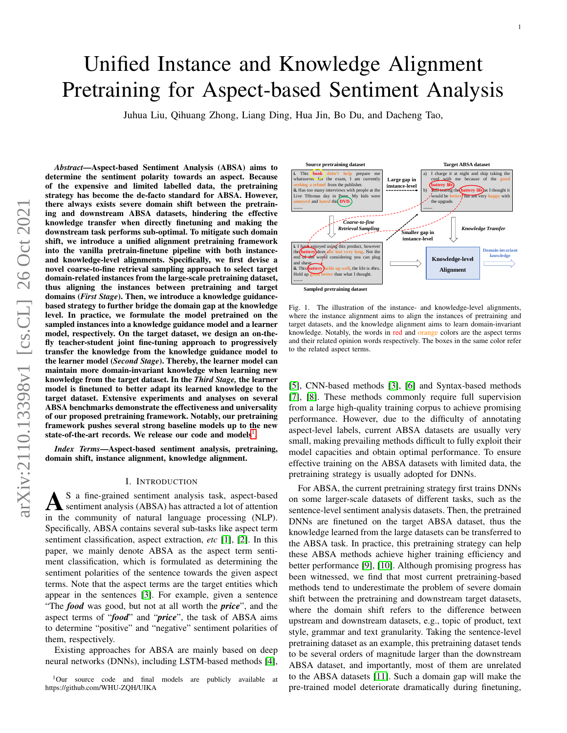# Unified Instance and Knowledge Alignment Pretraining for Aspect-based Sentiment Analysis

Juhua Liu, Qihuang Zhong, Liang Ding, Hua Jin, Bo Du, and Dacheng Tao,

*Abstract*—Aspect-based Sentiment Analysis (ABSA) aims to determine the sentiment polarity towards an aspect. Because of the expensive and limited labelled data, the pretraining strategy has become the de-facto standard for ABSA. However, there always exists severe domain shift between the pretraining and downstream ABSA datasets, hindering the effective knowledge transfer when directly finetuning and making the downstream task performs sub-optimal. To mitigate such domain shift, we introduce a unified alignment pretraining framework into the vanilla pretrain-finetune pipeline with both instanceand knowledge-level alignments. Specifically, we first devise a novel coarse-to-fine retrieval sampling approach to select target domain-related instances from the large-scale pretraining dataset, thus aligning the instances between pretraining and target domains (*First Stage*). Then, we introduce a knowledge guidancebased strategy to further bridge the domain gap at the knowledge level. In practice, we formulate the model pretrained on the sampled instances into a knowledge guidance model and a learner model, respectively. On the target dataset, we design an on-thefly teacher-student joint fine-tuning approach to progressively transfer the knowledge from the knowledge guidance model to the learner model (*Second Stage*). Thereby, the learner model can maintain more domain-invariant knowledge when learning new knowledge from the target dataset. In the *Third Stage,* the learner model is finetuned to better adapt its learned knowledge to the target dataset. Extensive experiments and analyses on several ABSA benchmarks demonstrate the effectiveness and universality of our proposed pretraining framework. Notably, our pretraining framework pushes several strong baseline models up to the new state-of-the-art records. We release our code and models<sup>[1](#page-0-0)</sup>.

*Index Terms*—Aspect-based sentiment analysis, pretraining, domain shift, instance alignment, knowledge alignment.

#### I. INTRODUCTION

<span id="page-0-2"></span>A S a fine-grained sentiment analysis task, aspect-based sentiment analysis (ABSA) has attracted a lot of attention in the community of natural language processing (NLP). S a fine-grained sentiment analysis task, aspect-based sentiment analysis (ABSA) has attracted a lot of attention Specifically, ABSA contains several sub-tasks like aspect term sentiment classification, aspect extraction, *etc* [\[1\]](#page-9-0), [\[2\]](#page-9-1). In this paper, we mainly denote ABSA as the aspect term sentiment classification, which is formulated as determining the sentiment polarities of the sentence towards the given aspect terms. Note that the aspect terms are the target entities which appear in the sentences [\[3\]](#page-9-2). For example, given a sentence "The *food* was good, but not at all worth the *price*", and the aspect terms of "*food*" and "*price*", the task of ABSA aims to determine "positive" and "negative" sentiment polarities of them, respectively.

Existing approaches for ABSA are mainly based on deep neural networks (DNNs), including LSTM-based methods [\[4\]](#page-10-0),



<span id="page-0-1"></span>Fig. 1. The illustration of the instance- and knowledge-level alignments, where the instance alignment aims to align the instances of pretraining and target datasets, and the knowledge alignment aims to learn domain-invariant knowledge. Notably, the words in red and orange colors are the aspect terms and their related opinion words respectively. The boxes in the same color refer to the related aspect terms.

[\[5\]](#page-10-1), CNN-based methods [\[3\]](#page-9-2), [\[6\]](#page-10-2) and Syntax-based methods [\[7\]](#page-10-3), [\[8\]](#page-10-4). These methods commonly require full supervision from a large high-quality training corpus to achieve promising performance. However, due to the difficulty of annotating aspect-level labels, current ABSA datasets are usually very small, making prevailing methods difficult to fully exploit their model capacities and obtain optimal performance. To ensure effective training on the ABSA datasets with limited data, the pretraining strategy is usually adopted for DNNs.

For ABSA, the current pretraining strategy first trains DNNs on some larger-scale datasets of different tasks, such as the sentence-level sentiment analysis datasets. Then, the pretrained DNNs are finetuned on the target ABSA dataset, thus the knowledge learned from the large datasets can be transferred to the ABSA task. In practice, this pretraining strategy can help these ABSA methods achieve higher training efficiency and better performance [\[9\]](#page-10-5), [\[10\]](#page-10-6). Although promising progress has been witnessed, we find that most current pretraining-based methods tend to underestimate the problem of severe domain shift between the pretraining and downstream target datasets, where the domain shift refers to the difference between upstream and downstream datasets, e.g., topic of product, text style, grammar and text granularity. Taking the sentence-level pretraining dataset as an example, this pretraining dataset tends to be several orders of magnitude larger than the downstream ABSA dataset, and importantly, most of them are unrelated to the ABSA datasets [\[11\]](#page-10-7). Such a domain gap will make the pre-trained model deteriorate dramatically during finetuning,

<span id="page-0-0"></span><sup>&</sup>lt;sup>1</sup>Our source code and final models are publicly available at https://github.com/WHU-ZQH/UIKA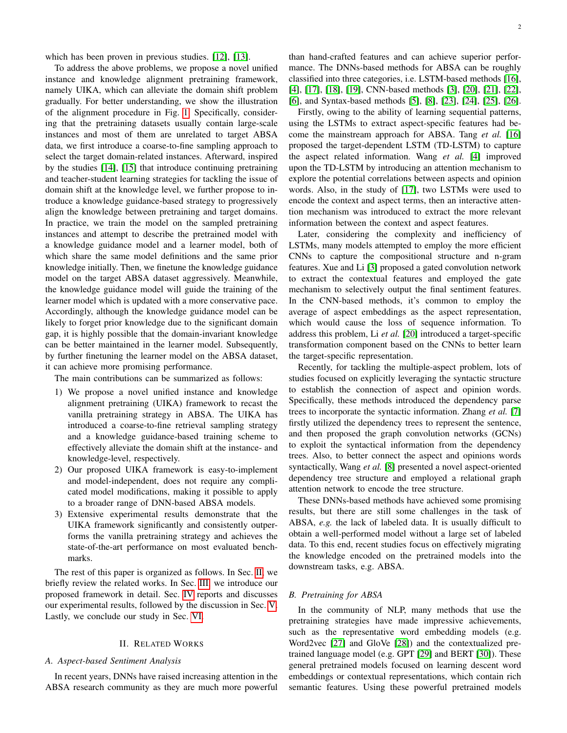which has been proven in previous studies. [\[12\]](#page-10-8), [\[13\]](#page-10-9).

To address the above problems, we propose a novel unified instance and knowledge alignment pretraining framework, namely UIKA, which can alleviate the domain shift problem gradually. For better understanding, we show the illustration of the alignment procedure in Fig. [1.](#page-0-1) Specifically, considering that the pretraining datasets usually contain large-scale instances and most of them are unrelated to target ABSA data, we first introduce a coarse-to-fine sampling approach to select the target domain-related instances. Afterward, inspired by the studies [\[14\]](#page-10-10), [\[15\]](#page-10-11) that introduce continuing pretraining and teacher-student learning strategies for tackling the issue of domain shift at the knowledge level, we further propose to introduce a knowledge guidance-based strategy to progressively align the knowledge between pretraining and target domains. In practice, we train the model on the sampled pretraining instances and attempt to describe the pretrained model with a knowledge guidance model and a learner model, both of which share the same model definitions and the same prior knowledge initially. Then, we finetune the knowledge guidance model on the target ABSA dataset aggressively. Meanwhile, the knowledge guidance model will guide the training of the learner model which is updated with a more conservative pace. Accordingly, although the knowledge guidance model can be likely to forget prior knowledge due to the significant domain gap, it is highly possible that the domain-invariant knowledge can be better maintained in the learner model. Subsequently, by further finetuning the learner model on the ABSA dataset, it can achieve more promising performance.

The main contributions can be summarized as follows:

- 1) We propose a novel unified instance and knowledge alignment pretraining (UIKA) framework to recast the vanilla pretraining strategy in ABSA. The UIKA has introduced a coarse-to-fine retrieval sampling strategy and a knowledge guidance-based training scheme to effectively alleviate the domain shift at the instance- and knowledge-level, respectively.
- 2) Our proposed UIKA framework is easy-to-implement and model-independent, does not require any complicated model modifications, making it possible to apply to a broader range of DNN-based ABSA models.
- 3) Extensive experimental results demonstrate that the UIKA framework significantly and consistently outperforms the vanilla pretraining strategy and achieves the state-of-the-art performance on most evaluated benchmarks.

The rest of this paper is organized as follows. In Sec. [II,](#page-1-0) we briefly review the related works. In Sec. [III,](#page-2-0) we introduce our proposed framework in detail. Sec. [IV](#page-5-0) reports and discusses our experimental results, followed by the discussion in Sec. [V.](#page-8-0) Lastly, we conclude our study in Sec. [VI.](#page-9-3)

## II. RELATED WORKS

# <span id="page-1-0"></span>*A. Aspect-based Sentiment Analysis*

In recent years, DNNs have raised increasing attention in the ABSA research community as they are much more powerful

than hand-crafted features and can achieve superior performance. The DNNs-based methods for ABSA can be roughly classified into three categories, i.e. LSTM-based methods [\[16\]](#page-10-12), [\[4\]](#page-10-0), [\[17\]](#page-10-13), [\[18\]](#page-10-14), [\[19\]](#page-10-15), CNN-based methods [\[3\]](#page-9-2), [\[20\]](#page-10-16), [\[21\]](#page-10-17), [\[22\]](#page-10-18), [\[6\]](#page-10-2), and Syntax-based methods [\[5\]](#page-10-1), [\[8\]](#page-10-4), [\[23\]](#page-10-19), [\[24\]](#page-10-20), [\[25\]](#page-10-21), [\[26\]](#page-10-22).

Firstly, owing to the ability of learning sequential patterns, using the LSTMs to extract aspect-specific features had become the mainstream approach for ABSA. Tang *et al.* [\[16\]](#page-10-12) proposed the target-dependent LSTM (TD-LSTM) to capture the aspect related information. Wang *et al.* [\[4\]](#page-10-0) improved upon the TD-LSTM by introducing an attention mechanism to explore the potential correlations between aspects and opinion words. Also, in the study of [\[17\]](#page-10-13), two LSTMs were used to encode the context and aspect terms, then an interactive attention mechanism was introduced to extract the more relevant information between the context and aspect features.

Later, considering the complexity and inefficiency of LSTMs, many models attempted to employ the more efficient CNNs to capture the compositional structure and n-gram features. Xue and Li [\[3\]](#page-9-2) proposed a gated convolution network to extract the contextual features and employed the gate mechanism to selectively output the final sentiment features. In the CNN-based methods, it's common to employ the average of aspect embeddings as the aspect representation, which would cause the loss of sequence information. To address this problem, Li *et al.* [\[20\]](#page-10-16) introduced a target-specific transformation component based on the CNNs to better learn the target-specific representation.

Recently, for tackling the multiple-aspect problem, lots of studies focused on explicitly leveraging the syntactic structure to establish the connection of aspect and opinion words. Specifically, these methods introduced the dependency parse trees to incorporate the syntactic information. Zhang *et al.* [\[7\]](#page-10-3) firstly utilized the dependency trees to represent the sentence, and then proposed the graph convolution networks (GCNs) to exploit the syntactical information from the dependency trees. Also, to better connect the aspect and opinions words syntactically, Wang *et al.* [\[8\]](#page-10-4) presented a novel aspect-oriented dependency tree structure and employed a relational graph attention network to encode the tree structure.

These DNNs-based methods have achieved some promising results, but there are still some challenges in the task of ABSA, *e.g.* the lack of labeled data. It is usually difficult to obtain a well-performed model without a large set of labeled data. To this end, recent studies focus on effectively migrating the knowledge encoded on the pretrained models into the downstream tasks, e.g. ABSA.

# *B. Pretraining for ABSA*

In the community of NLP, many methods that use the pretraining strategies have made impressive achievements, such as the representative word embedding models (e.g. Word2vec [\[27\]](#page-10-23) and GloVe [\[28\]](#page-10-24)) and the contextualized pretrained language model (e.g. GPT [\[29\]](#page-10-25) and BERT [\[30\]](#page-10-26)). These general pretrained models focused on learning descent word embeddings or contextual representations, which contain rich semantic features. Using these powerful pretrained models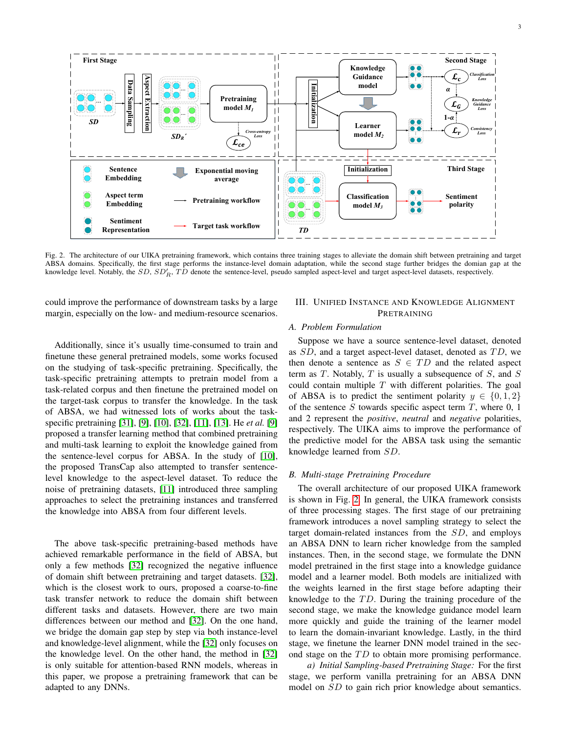

<span id="page-2-1"></span>Fig. 2. The architecture of our UIKA pretraining framework, which contains three training stages to alleviate the domain shift between pretraining and target ABSA domains. Specifically, the first stage performs the instance-level domain adaptation, while the second stage further bridges the domian gap at the knowledge level. Notably, the  $SD$ ,  $SD'_R$ ,  $\overline{TD}$  denote the sentence-level, pseudo sampled aspect-level and target aspect-level datasets, respectively.

could improve the performance of downstream tasks by a large margin, especially on the low- and medium-resource scenarios.

Additionally, since it's usually time-consumed to train and finetune these general pretrained models, some works focused on the studying of task-specific pretraining. Specifically, the task-specific pretraining attempts to pretrain model from a task-related corpus and then finetune the pretrained model on the target-task corpus to transfer the knowledge. In the task of ABSA, we had witnessed lots of works about the taskspecific pretraining [\[31\]](#page-10-27), [\[9\]](#page-10-5), [\[10\]](#page-10-6), [\[32\]](#page-10-28), [\[11\]](#page-10-7), [\[13\]](#page-10-9). He *et al.* [\[9\]](#page-10-5) proposed a transfer learning method that combined pretraining and multi-task learning to exploit the knowledge gained from the sentence-level corpus for ABSA. In the study of [\[10\]](#page-10-6), the proposed TransCap also attempted to transfer sentencelevel knowledge to the aspect-level dataset. To reduce the noise of pretraining datasets, [\[11\]](#page-10-7) introduced three sampling approaches to select the pretraining instances and transferred the knowledge into ABSA from four different levels.

The above task-specific pretraining-based methods have achieved remarkable performance in the field of ABSA, but only a few methods [\[32\]](#page-10-28) recognized the negative influence of domain shift between pretraining and target datasets. [\[32\]](#page-10-28), which is the closest work to ours, proposed a coarse-to-fine task transfer network to reduce the domain shift between different tasks and datasets. However, there are two main differences between our method and [\[32\]](#page-10-28). On the one hand, we bridge the domain gap step by step via both instance-level and knowledge-level alignment, while the [\[32\]](#page-10-28) only focuses on the knowledge level. On the other hand, the method in [\[32\]](#page-10-28) is only suitable for attention-based RNN models, whereas in this paper, we propose a pretraining framework that can be adapted to any DNNs.

# <span id="page-2-0"></span>III. UNIFIED INSTANCE AND KNOWLEDGE ALIGNMENT PRETRAINING

#### *A. Problem Formulation*

Suppose we have a source sentence-level dataset, denoted as  $SD$ , and a target aspect-level dataset, denoted as  $TD$ , we then denote a sentence as  $S \in TD$  and the related aspect term as  $T$ . Notably,  $T$  is usually a subsequence of  $S$ , and  $S$ could contain multiple  $T$  with different polarities. The goal of ABSA is to predict the sentiment polarity  $y \in \{0, 1, 2\}$ of the sentence  $S$  towards specific aspect term  $T$ , where  $0, 1$ and 2 represent the *positive*, *neutral* and *negative* polarities, respectively. The UIKA aims to improve the performance of the predictive model for the ABSA task using the semantic knowledge learned from SD.

# *B. Multi-stage Pretraining Procedure*

The overall architecture of our proposed UIKA framework is shown in Fig. [2.](#page-2-1) In general, the UIKA framework consists of three processing stages. The first stage of our pretraining framework introduces a novel sampling strategy to select the target domain-related instances from the SD, and employs an ABSA DNN to learn richer knowledge from the sampled instances. Then, in the second stage, we formulate the DNN model pretrained in the first stage into a knowledge guidance model and a learner model. Both models are initialized with the weights learned in the first stage before adapting their knowledge to the  $TD$ . During the training procedure of the second stage, we make the knowledge guidance model learn more quickly and guide the training of the learner model to learn the domain-invariant knowledge. Lastly, in the third stage, we finetune the learner DNN model trained in the second stage on the  $TD$  to obtain more promising performance.

*a) Initial Sampling-based Pretraining Stage:* For the first stage, we perform vanilla pretraining for an ABSA DNN model on SD to gain rich prior knowledge about semantics.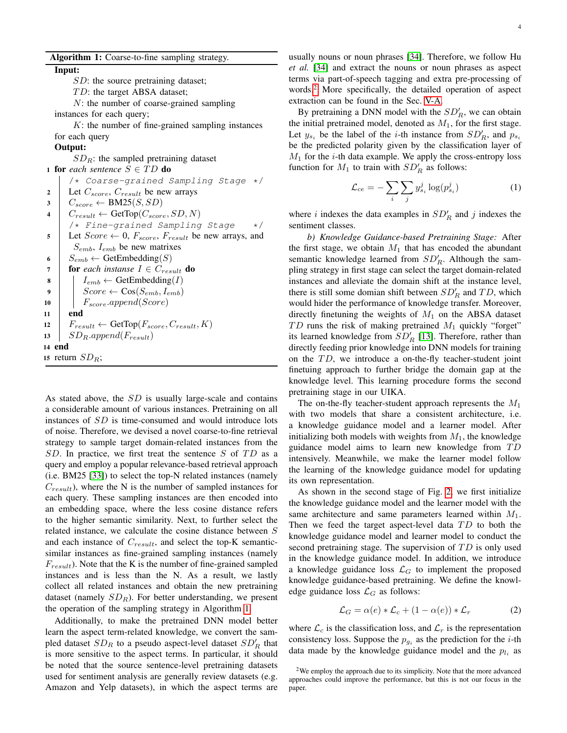Algorithm 1: Coarse-to-fine sampling strategy.

<span id="page-3-0"></span>Input:

SD: the source pretraining dataset;

 $TD$ : the target ABSA dataset;

N: the number of coarse-grained sampling instances for each query;

 $K$ : the number of fine-grained sampling instances for each query

# Output:

 $SD_R$ : the sampled pretraining dataset 1 for *each sentence*  $S \in TD$  do

/\* Coarse-grained Sampling Stage \*/ 2 Let  $C_{score}$ ,  $C_{result}$  be new arrays  $3 \mid C_{score} \leftarrow \text{BM25}(S, SD)$  $4 \mid C_{result} \leftarrow \text{GetTop}(C_{score}, SD, N)$ /\* Fine-grained Sampling Stage \*/ 5 Let  $Score \leftarrow 0$ ,  $F_{score}$ ,  $F_{result}$  be new arrays, and  $S_{emb}$ ,  $I_{emb}$  be new matrixes 6 |  $S_{emb} \leftarrow \text{GetEmbedding}(S)$ 7 **for** each instanse  $I \in C_{result}$  do  $\mathbf{s}$  |  $I_{emb} \leftarrow \text{GetEmbedding}(I)$ 9 |  $Score \leftarrow \text{Cos}(S_{emb}, I_{emb})$ 10 |  $F_{score}$ .append(Score)  $11$  end 12  $F_{result} \leftarrow \text{GetTop}(F_{score}, C_{result}, K)$  $13$  SD<sub>R</sub>.append(F<sub>result</sub>) 14 end 15 return  $SD_R$ ;

As stated above, the SD is usually large-scale and contains a considerable amount of various instances. Pretraining on all instances of SD is time-consumed and would introduce lots of noise. Therefore, we devised a novel coarse-to-fine retrieval strategy to sample target domain-related instances from the  $SD$ . In practice, we first treat the sentence S of TD as a query and employ a popular relevance-based retrieval approach (i.e. BM25 [\[33\]](#page-10-29)) to select the top-N related instances (namely  $C_{result}$ ), where the N is the number of sampled instances for each query. These sampling instances are then encoded into an embedding space, where the less cosine distance refers to the higher semantic similarity. Next, to further select the related instance, we calculate the cosine distance between S and each instance of  $C_{result}$ , and select the top-K semanticsimilar instances as fine-grained sampling instances (namely  $F_{result}$ ). Note that the K is the number of fine-grained sampled instances and is less than the N. As a result, we lastly collect all related instances and obtain the new pretraining dataset (namely  $SD_R$ ). For better understanding, we present the operation of the sampling strategy in Algorithm [1.](#page-3-0)

Additionally, to make the pretrained DNN model better learn the aspect term-related knowledge, we convert the sampled dataset  $SD_R$  to a pseudo aspect-level dataset  $SD'_R$  that is more sensitive to the aspect terms. In particular, it should be noted that the source sentence-level pretraining datasets used for sentiment analysis are generally review datasets (e.g. Amazon and Yelp datasets), in which the aspect terms are usually nouns or noun phrases [\[34\]](#page-10-30). Therefore, we follow Hu *et al.* [\[34\]](#page-10-30) and extract the nouns or noun phrases as aspect terms via part-of-speech tagging and extra pre-processing of words.[2](#page-3-1) More specifically, the detailed operation of aspect extraction can be found in the Sec. [V-A.](#page-8-1)

By pretraining a DNN model with the  $SD'_R$ , we can obtain the initial pretrained model, denoted as  $M_1$ , for the first stage. Let  $y_{s_i}$  be the label of the *i*-th instance from  $SD'_R$ , and  $p_{s_i}$ be the predicted polarity given by the classification layer of  $M_1$  for the *i*-th data example. We apply the cross-entropy loss function for  $M_1$  to train with  $SD'_R$  as follows:

$$
\mathcal{L}_{ce} = -\sum_{i} \sum_{j} y_{s_i}^{j} \log(p_{s_i}^j)
$$
 (1)

where i indexes the data examples in  $SD'_R$  and j indexes the sentiment classes.

*b) Knowledge Guidance-based Pretraining Stage:* After the first stage, we obtain  $M_1$  that has encoded the abundant semantic knowledge learned from  $SD_R'$ . Although the sampling strategy in first stage can select the target domain-related instances and alleviate the domain shift at the instance level, there is still some domian shift between  $SD'_R$  and  $TD$ , which would hider the performance of knowledge transfer. Moreover, directly finetuning the weights of  $M_1$  on the ABSA dataset  $TD$  runs the risk of making pretrained  $M_1$  quickly "forget" its learned knowledge from  $SD_R$  [\[13\]](#page-10-9). Therefore, rather than directly feeding prior knowledge into DNN models for training on the  $TD$ , we introduce a on-the-fly teacher-student joint finetuing approach to further bridge the domain gap at the knowledge level. This learning procedure forms the second pretraining stage in our UIKA.

The on-the-fly teacher-student approach represents the  $M_1$ with two models that share a consistent architecture, i.e. a knowledge guidance model and a learner model. After initializing both models with weights from  $M_1$ , the knowledge guidance model aims to learn new knowledge from  $TD$ intensively. Meanwhile, we make the learner model follow the learning of the knowledge guidance model for updating its own representation.

As shown in the second stage of Fig. [2,](#page-2-1) we first initialize the knowledge guidance model and the learner model with the same architecture and same parameters learned within  $M_1$ . Then we feed the target aspect-level data  $TD$  to both the knowledge guidance model and learner model to conduct the second pretraining stage. The supervision of  $TD$  is only used in the knowledge guidance model. In addition, we introduce a knowledge guidance loss  $\mathcal{L}_G$  to implement the proposed knowledge guidance-based pretraining. We define the knowledge guidance loss  $\mathcal{L}_G$  as follows:

<span id="page-3-2"></span>
$$
\mathcal{L}_G = \alpha(e) * \mathcal{L}_c + (1 - \alpha(e)) * \mathcal{L}_r \tag{2}
$$

where  $\mathcal{L}_c$  is the classification loss, and  $\mathcal{L}_r$  is the representation consistency loss. Suppose the  $p_{g_i}$  as the prediction for the *i*-th data made by the knowledge guidance model and the  $p_{l_i}$  as

<span id="page-3-1"></span><sup>2</sup>We employ the approach due to its simplicity. Note that the more advanced approaches could improve the performance, but this is not our focus in the paper.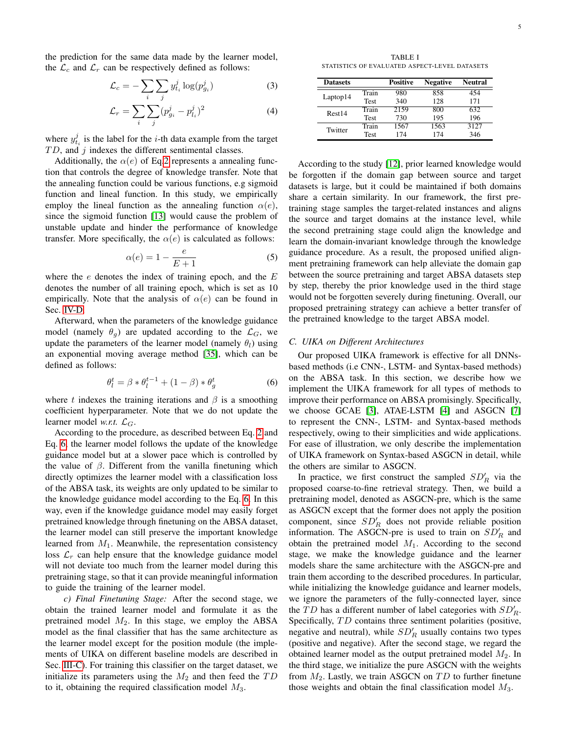the prediction for the same data made by the learner model, the  $\mathcal{L}_c$  and  $\mathcal{L}_r$  can be respectively defined as follows:

$$
\mathcal{L}_c = -\sum_i \sum_j y_{t_i}^j \log(p_{g_i}^j)
$$
 (3)

$$
\mathcal{L}_r = \sum_i \sum_j (p_{g_i}^j - p_{l_i}^j)^2
$$
 (4)

where  $y_{t_i}^j$  is the label for the *i*-th data example from the target  $TD$ , and  $j$  indexes the different sentimental classes.

Additionally, the  $\alpha(e)$  of Eq[.2](#page-3-2) represents a annealing function that controls the degree of knowledge transfer. Note that the annealing function could be various functions, e.g sigmoid function and lineal function. In this study, we empirically employ the lineal function as the annealing function  $\alpha(e)$ , since the sigmoid function [\[13\]](#page-10-9) would cause the problem of unstable update and hinder the performance of knowledge transfer. More specifically, the  $\alpha(e)$  is calculated as follows:

$$
\alpha(e) = 1 - \frac{e}{E+1} \tag{5}
$$

where the  $e$  denotes the index of training epoch, and the  $E$ denotes the number of all training epoch, which is set as 10 empirically. Note that the analysis of  $\alpha(e)$  can be found in Sec. [IV-D.](#page-7-0)

Afterward, when the parameters of the knowledge guidance model (namely  $\theta_g$ ) are updated according to the  $\mathcal{L}_G$ , we update the parameters of the learner model (namely  $\theta_l$ ) using an exponential moving average method [\[35\]](#page-10-31), which can be defined as follows:

<span id="page-4-0"></span>
$$
\theta_l^t = \beta * \theta_l^{t-1} + (1 - \beta) * \theta_g^t \tag{6}
$$

where t indexes the training iterations and  $\beta$  is a smoothing coefficient hyperparameter. Note that we do not update the learner model *w.r.t.*  $\mathcal{L}_G$ .

According to the procedure, as described between Eq. [2](#page-3-2) and Eq. [6,](#page-4-0) the learner model follows the update of the knowledge guidance model but at a slower pace which is controlled by the value of  $\beta$ . Different from the vanilla finetuning which directly optimizes the learner model with a classification loss of the ABSA task, its weights are only updated to be similar to the knowledge guidance model according to the Eq. [6.](#page-4-0) In this way, even if the knowledge guidance model may easily forget pretrained knowledge through finetuning on the ABSA dataset, the learner model can still preserve the important knowledge learned from  $M_1$ . Meanwhile, the representation consistency loss  $\mathcal{L}_r$  can help ensure that the knowledge guidance model will not deviate too much from the learner model during this pretraining stage, so that it can provide meaningful information to guide the training of the learner model.

*c) Final Finetuning Stage:* After the second stage, we obtain the trained learner model and formulate it as the pretrained model  $M_2$ . In this stage, we employ the ABSA model as the final classifier that has the same architecture as the learner model except for the position module (the implements of UIKA on different baseline models are described in Sec. [III-C\)](#page-4-1). For training this classifier on the target dataset, we initialize its parameters using the  $M_2$  and then feed the  $TD$ to it, obtaining the required classification model  $M_3$ .

<span id="page-4-2"></span>TABLE I STATISTICS OF EVALUATED ASPECT-LEVEL DATASETS

| <b>Datasets</b> |             | <b>Positive</b> | <b>Negative</b> | <b>Neutral</b> |
|-----------------|-------------|-----------------|-----------------|----------------|
|                 | Train       | 980             | 858             | 454            |
| Laptop14        | <b>Test</b> | 340             | 128             | 171            |
| Rest14          | Train       | 2159            | 800             | 632.           |
|                 | <b>Test</b> | 730             | 195             | 196            |
| Twitter         | Train       | 1567            | 1563            | 3127           |
|                 | Test        | 174             | 174             | 346            |

According to the study [\[12\]](#page-10-8), prior learned knowledge would be forgotten if the domain gap between source and target datasets is large, but it could be maintained if both domains share a certain similarity. In our framework, the first pretraining stage samples the target-related instances and aligns the source and target domains at the instance level, while the second pretraining stage could align the knowledge and learn the domain-invariant knowledge through the knowledge guidance procedure. As a result, the proposed unified alignment pretraining framework can help alleviate the domain gap between the source pretraining and target ABSA datasets step by step, thereby the prior knowledge used in the third stage would not be forgotten severely during finetuning. Overall, our proposed pretraining strategy can achieve a better transfer of the pretrained knowledge to the target ABSA model.

## <span id="page-4-1"></span>*C. UIKA on Different Architectures*

Our proposed UIKA framework is effective for all DNNsbased methods (i.e CNN-, LSTM- and Syntax-based methods) on the ABSA task. In this section, we describe how we implement the UIKA framework for all types of methods to improve their performance on ABSA promisingly. Specifically, we choose GCAE [\[3\]](#page-9-2), ATAE-LSTM [\[4\]](#page-10-0) and ASGCN [\[7\]](#page-10-3) to represent the CNN-, LSTM- and Syntax-based methods respectively, owing to their simplicities and wide applications. For ease of illustration, we only describe the implementation of UIKA framework on Syntax-based ASGCN in detail, while the others are similar to ASGCN.

In practice, we first construct the sampled  $SD'_R$  via the proposed coarse-to-fine retrieval strategy. Then, we build a pretraining model, denoted as ASGCN-pre, which is the same as ASGCN except that the former does not apply the position component, since  $SD'_R$  does not provide reliable position information. The ASGCN-pre is used to train on  $SD'_R$  and obtain the pretrained model  $M_1$ . According to the second stage, we make the knowledge guidance and the learner models share the same architecture with the ASGCN-pre and train them according to the described procedures. In particular, while initializing the knowledge guidance and learner models, we ignore the parameters of the fully-connected layer, since the TD has a different number of label categories with  $SD'_R$ . Specifically, TD contains three sentiment polarities (positive, negative and neutral), while  $SD'_{R}$  usually contains two types (positive and negative). After the second stage, we regard the obtained learner model as the output pretrained model  $M_2$ . In the third stage, we initialize the pure ASGCN with the weights from  $M_2$ . Lastly, we train ASGCN on  $TD$  to further finetune those weights and obtain the final classification model  $M_3$ .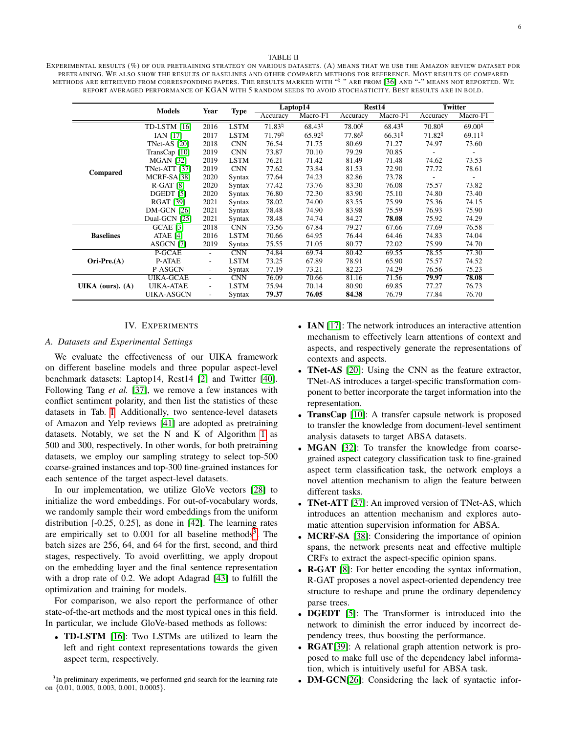#### TABLE II

<span id="page-5-2"></span>EXPERIMENTAL RESULTS (%) OF OUR PRETRAINING STRATEGY ON VARIOUS DATASETS. (A) MEANS THAT WE USE THE AMAZON REVIEW DATASET FOR PRETRAINING. WE ALSO SHOW THE RESULTS OF BASELINES AND OTHER COMPARED METHODS FOR REFERENCE. MOST RESULTS OF COMPARED METHODS ARE RETRIEVED FROM CORRESPONDING PAPERS. THE RESULTS MARKED WITH "<sup>!!</sup> " ARE FROM [\[36\]](#page-10-32) AND "-" MEANS NOT REPORTED. WE REPORT AVERAGED PERFORMANCE OF KGAN WITH 5 RANDOM SEEDS TO AVOID STOCHASTICITY. BEST RESULTS ARE IN BOLD.

|                    | <b>Models</b>        | Year                     |                         |                    | Laptop14              |                    | Rest14                |                          | <b>Twitter</b>     |
|--------------------|----------------------|--------------------------|-------------------------|--------------------|-----------------------|--------------------|-----------------------|--------------------------|--------------------|
|                    |                      |                          | <b>Type</b><br>Accuracy |                    | Macro-F1              | Accuracy           | Macro-F1              | Accuracy                 | Macro-F1           |
|                    | TD-LSTM [16]         | 2016                     | <b>LSTM</b>             | $71.83^{\text{h}}$ | $68.43^{\frac{1}{4}}$ | $78.00^{1}$        | $68.43^{\frac{1}{4}}$ | $70.80^{1}$              | $69.00^{1}$        |
|                    | <b>IAN [17]</b>      | 2017                     | <b>LSTM</b>             | 71.79              | $65.92^{\natural}$    | $77.86^{\natural}$ | $66.31^{\frac{1}{4}}$ | 71.82 <sup>5</sup>       | 69.11 <sup>1</sup> |
|                    | <b>TNet-AS</b> [20]  | 2018                     | <b>CNN</b>              | 76.54              | 71.75                 | 80.69              | 71.27                 | 74.97                    | 73.60              |
|                    | TransCap [10]        | 2019                     | <b>CNN</b>              | 73.87              | 70.10                 | 79.29              | 70.85                 | $\overline{\phantom{a}}$ |                    |
|                    | <b>MGAN [32]</b>     | 2019                     | <b>LSTM</b>             | 76.21              | 71.42                 | 81.49              | 71.48                 | 74.62                    | 73.53              |
| <b>Compared</b>    | TNet-ATT [37]        | 2019                     | <b>CNN</b>              | 77.62              | 73.84                 | 81.53              | 72.90                 | 77.72                    | 78.61              |
|                    | MCRF-SA[38]          | 2020                     | Syntax                  | 77.64              | 74.23                 | 82.86              | 73.78                 |                          |                    |
|                    | $R-GAT$ [8]          | 2020                     | Syntax                  | 77.42              | 73.76                 | 83.30              | 76.08                 | 75.57                    | 73.82              |
|                    | DGEDT <sup>[5]</sup> | 2020                     | <b>Syntax</b>           | 76.80              | 72.30                 | 83.90              | 75.10                 | 74.80                    | 73.40              |
|                    | <b>RGAT [39]</b>     | 2021                     | Syntax                  | 78.02              | 74.00                 | 83.55              | 75.99                 | 75.36                    | 74.15              |
|                    | <b>DM-GCN [26]</b>   | 2021                     | Syntax                  | 78.48              | 74.90                 | 83.98              | 75.59                 | 76.93                    | 75.90              |
|                    | Dual-GCN [25]        | 2021                     | Syntax                  | 78.48              | 74.74                 | 84.27              | 78.08                 | 75.92                    | 74.29              |
|                    | $GCAE$ [3]           | 2018                     | CNN                     | 73.56              | 67.84                 | 79.27              | 67.66                 | 77.69                    | 76.58              |
| <b>Baselines</b>   | ATAE [4]             | 2016                     | <b>LSTM</b>             | 70.66              | 64.95                 | 76.44              | 64.46                 | 74.83                    | 74.04              |
|                    | <b>ASGCN [7]</b>     | 2019                     | Syntax                  | 75.55              | 71.05                 | 80.77              | 72.02                 | 75.99                    | 74.70              |
|                    | P-GCAE               | $\sim$                   | CNN                     | 74.84              | 69.74                 | 80.42              | 69.55                 | 78.55                    | 77.30              |
| $Ori-Pre.(A)$      | <b>P-ATAE</b>        | $\overline{\phantom{a}}$ | <b>LSTM</b>             | 73.25              | 67.89                 | 78.91              | 65.90                 | 75.57                    | 74.52              |
|                    | P-ASGCN              | ٠                        | Syntax                  | 77.19              | 73.21                 | 82.23              | 74.29                 | 76.56                    | 75.23              |
|                    | <b>UIKA-GCAE</b>     | $\overline{\phantom{a}}$ | CNN                     | 76.09              | 70.66                 | 81.16              | 71.56                 | 79.97                    | 78.08              |
| UIKA (ours). $(A)$ | <b>UIKA-ATAE</b>     | $\overline{\phantom{a}}$ | <b>LSTM</b>             | 75.94              | 70.14                 | 80.90              | 69.85                 | 77.27                    | 76.73              |
|                    | UIKA-ASGCN           | $\overline{\phantom{a}}$ | Syntax                  | 79.37              | 76.05                 | 84.38              | 76.79                 | 77.84                    | 76.70              |

## IV. EXPERIMENTS

# <span id="page-5-0"></span>*A. Datasets and Experimental Settings*

We evaluate the effectiveness of our UIKA framework on different baseline models and three popular aspect-level benchmark datasets: Laptop14, Rest14 [\[2\]](#page-9-1) and Twitter [\[40\]](#page-10-36). Following Tang *et al.* [\[37\]](#page-10-33), we remove a few instances with conflict sentiment polarity, and then list the statistics of these datasets in Tab. [I.](#page-4-2) Additionally, two sentence-level datasets of Amazon and Yelp reviews [\[41\]](#page-10-37) are adopted as pretraining datasets. Notably, we set the N and K of Algorithm [1](#page-3-0) as 500 and 300, respectively. In other words, for both pretraining datasets, we employ our sampling strategy to select top-500 coarse-grained instances and top-300 fine-grained instances for each sentence of the target aspect-level datasets.

In our implementation, we utilize GloVe vectors [\[28\]](#page-10-24) to initialize the word embeddings. For out-of-vocabulary words, we randomly sample their word embeddings from the uniform distribution [-0.25, 0.25], as done in [\[42\]](#page-10-38). The learning rates are empirically set to  $0.001$  for all baseline methods<sup>[3](#page-5-1)</sup>. The batch sizes are 256, 64, and 64 for the first, second, and third stages, respectively. To avoid overfitting, we apply dropout on the embedding layer and the final sentence representation with a drop rate of 0.2. We adopt Adagrad [\[43\]](#page-10-39) to fulfill the optimization and training for models.

For comparison, we also report the performance of other state-of-the-art methods and the most typical ones in this field. In particular, we include GloVe-based methods as follows:

• TD-LSTM [\[16\]](#page-10-12): Two LSTMs are utilized to learn the left and right context representations towards the given aspect term, respectively.

- IAN [\[17\]](#page-10-13): The network introduces an interactive attention mechanism to effectively learn attentions of context and aspects, and respectively generate the representations of contexts and aspects.
- **TNet-AS** [\[20\]](#page-10-16): Using the CNN as the feature extractor, TNet-AS introduces a target-specific transformation component to better incorporate the target information into the representation.
- **TransCap** [\[10\]](#page-10-6): A transfer capsule network is proposed to transfer the knowledge from document-level sentiment analysis datasets to target ABSA datasets.
- MGAN [\[32\]](#page-10-28): To transfer the knowledge from coarsegrained aspect category classification task to fine-grained aspect term classification task, the network employs a novel attention mechanism to align the feature between different tasks.
- TNet-ATT [\[37\]](#page-10-33): An improved version of TNet-AS, which introduces an attention mechanism and explores automatic attention supervision information for ABSA.
- MCRF-SA [\[38\]](#page-10-34): Considering the importance of opinion spans, the network presents neat and effective multiple CRFs to extract the aspect-specific opinion spans.
- R-GAT [\[8\]](#page-10-4): For better encoding the syntax information, R-GAT proposes a novel aspect-oriented dependency tree structure to reshape and prune the ordinary dependency parse trees.
- DGEDT [\[5\]](#page-10-1): The Transformer is introduced into the network to diminish the error induced by incorrect dependency trees, thus boosting the performance.
- RGAT[\[39\]](#page-10-35): A relational graph attention network is proposed to make full use of the dependency label information, which is intuitively useful for ABSA task.
- **DM-GCN**[\[26\]](#page-10-22): Considering the lack of syntactic infor-

<span id="page-5-1"></span><sup>&</sup>lt;sup>3</sup>In preliminary experiments, we performed grid-search for the learning rate on {0.01, 0.005, 0.003, 0.001, 0.0005}.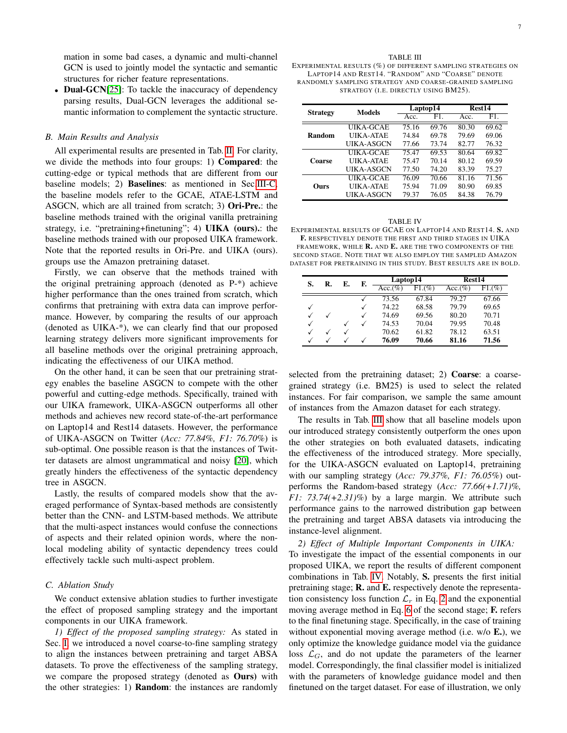mation in some bad cases, a dynamic and multi-channel GCN is used to jointly model the syntactic and semantic structures for richer feature representations.

• Dual-GCN[\[25\]](#page-10-21): To tackle the inaccuracy of dependency parsing results, Dual-GCN leverages the additional semantic information to complement the syntactic structure.

# *B. Main Results and Analysis*

All experimental results are presented in Tab. [II.](#page-5-2) For clarity, we divide the methods into four groups: 1) Compared: the cutting-edge or typical methods that are different from our baseline models; 2) Baselines: as mentioned in Sec[.III-C,](#page-4-1) the baseline models refer to the GCAE, ATAE-LSTM and ASGCN, which are all trained from scratch; 3) Ori-Pre.: the baseline methods trained with the original vanilla pretraining strategy, i.e. "pretraining+finetuning"; 4) UIKA (ours).: the baseline methods trained with our proposed UIKA framework. Note that the reported results in Ori-Pre. and UIKA (ours). groups use the Amazon pretraining dataset.

Firstly, we can observe that the methods trained with the original pretraining approach (denoted as P-\*) achieve higher performance than the ones trained from scratch, which confirms that pretraining with extra data can improve performance. However, by comparing the results of our approach (denoted as UIKA-\*), we can clearly find that our proposed learning strategy delivers more significant improvements for all baseline methods over the original pretraining approach, indicating the effectiveness of our UIKA method.

On the other hand, it can be seen that our pretraining strategy enables the baseline ASGCN to compete with the other powerful and cutting-edge methods. Specifically, trained with our UIKA framework, UIKA-ASGCN outperforms all other methods and achieves new record state-of-the-art performance on Laptop14 and Rest14 datasets. However, the performance of UIKA-ASGCN on Twitter (*Acc: 77.84%, F1: 76.70%*) is sub-optimal. One possible reason is that the instances of Twitter datasets are almost ungrammatical and noisy [\[20\]](#page-10-16), which greatly hinders the effectiveness of the syntactic dependency tree in ASGCN.

Lastly, the results of compared models show that the averaged performance of Syntax-based methods are consistently better than the CNN- and LSTM-based methods. We attribute that the multi-aspect instances would confuse the connections of aspects and their related opinion words, where the nonlocal modeling ability of syntactic dependency trees could effectively tackle such multi-aspect problem.

## *C. Ablation Study*

We conduct extensive ablation studies to further investigate the effect of proposed sampling strategy and the important components in our UIKA framework.

*1) Effect of the proposed sampling strategy:* As stated in Sec. [I,](#page-0-2) we introduced a novel coarse-to-fine sampling strategy to align the instances between pretraining and target ABSA datasets. To prove the effectiveness of the sampling strategy, we compare the proposed strategy (denoted as Ours) with the other strategies: 1) **Random**: the instances are randomly

<span id="page-6-0"></span>EXPERIMENTAL RESULTS (%) OF DIFFERENT SAMPLING STRATEGIES ON LAPTOP14 AND REST14. "RANDOM" AND "COARSE" DENOTE RANDOMLY SAMPLING STRATEGY AND COARSE-GRAINED SAMPLING STRATEGY (I.E. DIRECTLY USING BM25).

TABLE III

| <b>Strategy</b> | Models           |       | Laptop14 |       | Rest14 |  |
|-----------------|------------------|-------|----------|-------|--------|--|
|                 |                  | Acc.  | F1       | Acc.  | F1.    |  |
|                 | UIKA-GCAE        | 75.16 | 69.76    | 80.30 | 69.62  |  |
| Random          | <b>UIKA-ATAE</b> | 74.84 | 69.78    | 79.69 | 69.06  |  |
|                 | UIKA-ASGCN       | 77.66 | 73.74    | 82.77 | 76.32  |  |
|                 | UIKA-GCAE        | 75.47 | 69.53    | 80.64 | 69.82  |  |
| Coarse          | UIKA-ATAE        | 75.47 | 70.14    | 80.12 | 69.59  |  |
|                 | UIKA-ASGCN       | 77.50 | 74.20    | 83.39 | 75.27  |  |
|                 | UIKA-GCAE        | 76.09 | 70.66    | 81.16 | 71.56  |  |
| Ours            | UIKA-ATAE        | 75.94 | 71.09    | 80.90 | 69.85  |  |
|                 | UIKA-ASGCN       | 79.37 | 76.05    | 84.38 | 76.79  |  |

<span id="page-6-1"></span>

| <b>TABLE IV</b>                                                        |
|------------------------------------------------------------------------|
| EXPERIMENTAL RESULTS OF GCAE ON LAPTOP14 AND REST14. S. AND            |
| <b>F.</b> RESPECTIVELY DENOTE THE FIRST AND THIRD STAGES IN UIKA       |
| FRAMEWORK, WHILE <b>R.</b> AND <b>E.</b> ARE THE TWO COMPONENTS OF THE |
| SECOND STAGE. NOTE THAT WE ALSO EMPLOY THE SAMPLED AMAZON              |
| dataset for pretraining in this study. Best results are in bold.       |
|                                                                        |

|              | S.<br>Е.<br>R. |   | F.      | Laptop14 |         | <b>Rest14</b> |       |  |
|--------------|----------------|---|---------|----------|---------|---------------|-------|--|
|              |                |   | Acc.(%) | F1.(%)   | Acc.(%) | $F1.(\%)$     |       |  |
|              |                |   |         | 73.56    | 67.84   | 79.27         | 67.66 |  |
|              |                |   |         | 74.22    | 68.58   | 79.79         | 69.65 |  |
| $\checkmark$ |                |   |         | 74.69    | 69.56   | 80.20         | 70.71 |  |
| $\checkmark$ |                | √ |         | 74.53    | 70.04   | 79.95         | 70.48 |  |
|              |                |   |         | 70.62    | 61.82   | 78.12         | 63.51 |  |
|              |                |   |         | 76.09    | 70.66   | 81.16         | 71.56 |  |

selected from the pretraining dataset; 2) **Coarse**: a coarsegrained strategy (i.e. BM25) is used to select the related instances. For fair comparison, we sample the same amount of instances from the Amazon dataset for each strategy.

The results in Tab. [III](#page-6-0) show that all baseline models upon our introduced strategy consistently outperform the ones upon the other strategies on both evaluated datasets, indicating the effectiveness of the introduced strategy. More specially, for the UIKA-ASGCN evaluated on Laptop14, pretraining with our sampling strategy (*Acc: 79.37%, F1: 76.05%*) outperforms the Random-based strategy (*Acc: 77.66(+1.71)%, F1: 73.74(+2.31)%*) by a large margin. We attribute such performance gains to the narrowed distribution gap between the pretraining and target ABSA datasets via introducing the instance-level alignment.

*2) Effect of Multiple Important Components in UIKA:* To investigate the impact of the essential components in our proposed UIKA, we report the results of different component combinations in Tab. [IV.](#page-6-1) Notably, S. presents the first initial pretraining stage; R. and E. respectively denote the representation consistency loss function  $\mathcal{L}_r$  in Eq. [2](#page-3-2) and the exponential moving average method in Eq. [6](#page-4-0) of the second stage; F. refers to the final finetuning stage. Specifically, in the case of training without exponential moving average method (i.e. w/o **E.**), we only optimize the knowledge guidance model via the guidance loss  $\mathcal{L}_G$ , and do not update the parameters of the learner model. Correspondingly, the final classifier model is initialized with the parameters of knowledge guidance model and then finetuned on the target dataset. For ease of illustration, we only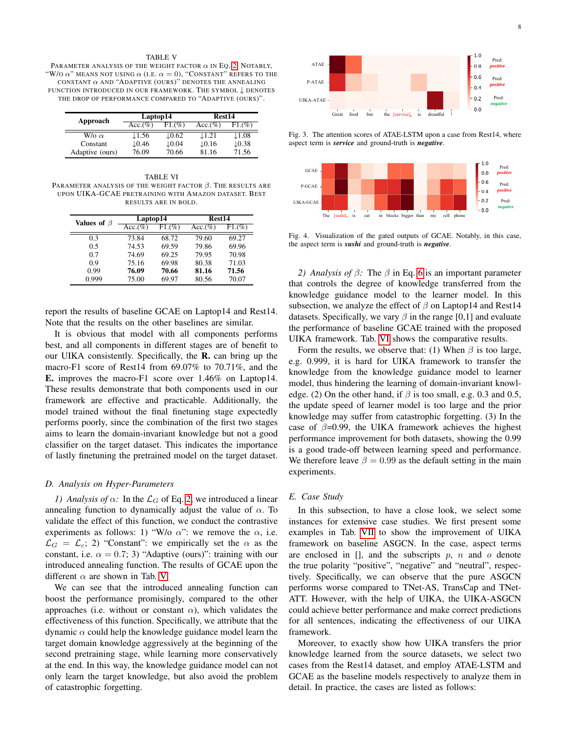#### TABLE V

<span id="page-7-1"></span>PARAMETER ANALYSIS OF THE WEIGHT FACTOR  $\alpha$  IN EQ. [2.](#page-3-2) NOTABLY, "W/O  $\alpha$ " means not using  $\alpha$  (i.e.  $\alpha = 0$ ), "Constant" refers to the CONSTANT  $\alpha$  AND "ADAPTIVE (OURS)" DENOTES THE ANNEALING FUNCTION INTRODUCED IN OUR FRAMEWORK. THE SYMBOL ↓ DENOTES THE DROP OF PERFORMANCE COMPARED TO "ADAPTIVE (OURS)".

| Approach            | Laptop14          |                   | Rest14            |                   |  |
|---------------------|-------------------|-------------------|-------------------|-------------------|--|
|                     | $Acc.(\%)$        | $F1.(\%)$         | $Acc.(\%)$        | F1.(%)            |  |
| $W/\alpha$ $\alpha$ | $\downarrow$ 1.56 | $\downarrow$ 0.62 | $\downarrow$ 1.21 | $\downarrow$ 1.08 |  |
| Constant            | $\downarrow$ 0.46 | $\downarrow 0.04$ | $\downarrow$ 0.16 | $\downarrow$ 0.38 |  |
| Adaptive (ours)     | 76.09             | 70.66             | 81.16             | 71.56             |  |

<span id="page-7-2"></span>TABLE VI PARAMETER ANALYSIS OF THE WEIGHT FACTOR  $\beta$ . The results are UPON UIKA-GCAE PRETRAINING WITH AMAZON DATASET. BEST RESULTS ARE IN BOLD.

| Values of $\beta$ | Laptop14   |        | Rest14     |        |  |
|-------------------|------------|--------|------------|--------|--|
|                   | $Acc.(\%)$ | F1.(%) | $Acc.(\%)$ | F1.(%) |  |
| 0.3               | 73.84      | 68.72  | 79.60      | 69.27  |  |
| 0.5               | 74.53      | 69.59  | 79.86      | 69.96  |  |
| 0.7               | 74.69      | 69.25  | 79.95      | 70.98  |  |
| 0.9               | 75.16      | 69.98  | 80.38      | 71.03  |  |
| 0.99              | 76.09      | 70.66  | 81.16      | 71.56  |  |
| 0.999             | 75.00      | 69.97  | 80.56      | 70.07  |  |

report the results of baseline GCAE on Laptop14 and Rest14. Note that the results on the other baselines are similar.

It is obvious that model with all components performs best, and all components in different stages are of benefit to our UIKA consistently. Specifically, the R. can bring up the macro-F1 score of Rest14 from 69.07% to 70.71%, and the E. improves the macro-F1 score over 1.46% on Laptop14. These results demonstrate that both components used in our framework are effective and practicable. Additionally, the model trained without the final finetuning stage expectedly performs poorly, since the combination of the first two stages aims to learn the domain-invariant knowledge but not a good classifier on the target dataset. This indicates the importance of lastly finetuning the pretrained model on the target dataset.

# <span id="page-7-0"></span>*D. Analysis on Hyper-Parameters*

*1) Analysis of*  $\alpha$ : In the  $\mathcal{L}_G$  of Eq. [2,](#page-3-2) we introduced a linear annealing function to dynamically adjust the value of  $\alpha$ . To validate the effect of this function, we conduct the contrastive experiments as follows: 1) "W/o  $\alpha$ ": we remove the  $\alpha$ , i.e.  $\mathcal{L}_G = \mathcal{L}_c$ ; 2) "Constant": we empirically set the  $\alpha$  as the constant, i.e.  $\alpha = 0.7; 3$ ) "Adaptive (ours)": training with our introduced annealing function. The results of GCAE upon the different  $\alpha$  are shown in Tab. [V.](#page-7-1)

We can see that the introduced annealing function can boost the performance promisingly, compared to the other approaches (i.e. without or constant  $\alpha$ ), which validates the effectiveness of this function. Specifically, we attribute that the dynamic  $\alpha$  could help the knowledge guidance model learn the target domain knowledge aggressively at the beginning of the second pretraining stage, while learning more conservatively at the end. In this way, the knowledge guidance model can not only learn the target knowledge, but also avoid the problem of catastrophic forgetting.



<span id="page-7-3"></span>Fig. 3. The attention scores of ATAE-LSTM upon a case from Rest14, where aspect term is *service* and ground-truth is *negative*.



<span id="page-7-4"></span>Fig. 4. Visualization of the gated outputs of GCAE. Notably, in this case, the aspect term is *sushi* and ground-truth is *negative*.

*2) Analysis of* β*:* The β in Eq. [6](#page-4-0) is an important parameter that controls the degree of knowledge transferred from the knowledge guidance model to the learner model. In this subsection, we analyze the effect of  $\beta$  on Laptop14 and Rest14 datasets. Specifically, we vary  $\beta$  in the range [0,1] and evaluate the performance of baseline GCAE trained with the proposed UIKA framework. Tab. [VI](#page-7-2) shows the comparative results.

Form the results, we observe that: (1) When  $\beta$  is too large, e.g. 0.999, it is hard for UIKA framework to transfer the knowledge from the knowledge guidance model to learner model, thus hindering the learning of domain-invariant knowledge. (2) On the other hand, if  $\beta$  is too small, e.g. 0.3 and 0.5, the update speed of learner model is too large and the prior knowledge may suffer from catastrophic forgetting. (3) In the case of  $\beta$ =0.99, the UIKA framework achieves the highest performance improvement for both datasets, showing the 0.99 is a good trade-off between learning speed and performance. We therefore leave  $\beta = 0.99$  as the default setting in the main experiments.

## *E. Case Study*

In this subsection, to have a close look, we select some instances for extensive case studies. We first present some examples in Tab. [VII](#page-8-2) to show the improvement of UIKA framework on baseline ASGCN. In the case, aspect terms are enclosed in  $[$ ], and the subscripts p, n and o denote the true polarity "positive", "negative" and "neutral", respectively. Specifically, we can observe that the pure ASGCN performs worse compared to TNet-AS, TransCap and TNet-ATT. However, with the help of UIKA, the UIKA-ASGCN could achieve better performance and make correct predictions for all sentences, indicating the effectiveness of our UIKA framework.

Moreover, to exactly show how UIKA transfers the prior knowledge learned from the source datasets, we select two cases from the Rest14 dataset, and employ ATAE-LSTM and GCAE as the baseline models respectively to analyze them in detail. In practice, the cases are listed as follows: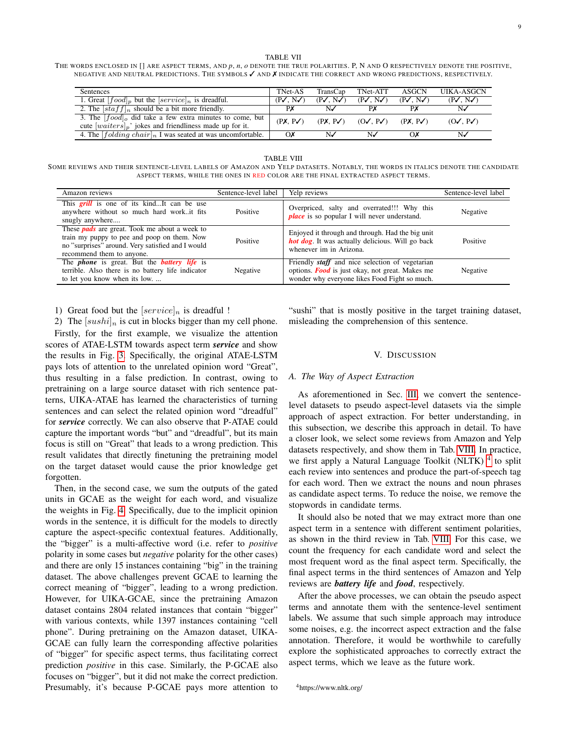TABLE VII

9

<span id="page-8-2"></span>THE WORDS ENCLOSED IN [] ARE ASPECT TERMS, AND *p*, *n*, *o* DENOTE THE TRUE POLARITIES. P, N AND O RESPECTIVELY DENOTE THE POSITIVE, NEGATIVE AND NEUTRAL PREDICTIONS. THE SYMBOLS ✓ AND ✗ INDICATE THE CORRECT AND WRONG PREDICTIONS, RESPECTIVELY.

| Sentences                                                                                                                | TNet-AS                      | TransCap                     | TNet-ATT                         | ASGCN                        | <b>UIKA-ASGCN</b>            |
|--------------------------------------------------------------------------------------------------------------------------|------------------------------|------------------------------|----------------------------------|------------------------------|------------------------------|
| 1. Great $[food]_p$ but the $[service]_n$ is dreadful.                                                                   | $(P\checkmark, N\checkmark)$ | $(P\checkmark, N\checkmark)$ | $(P\checkmark, N\checkmark)$     | $(P\checkmark, N\checkmark)$ | $(P\checkmark, N\checkmark)$ |
| 2. The $[statf]_n$ should be a bit more friendly.                                                                        | PX                           | N∕                           | PX                               | PX                           | N                            |
| 3. The $[food]_o$ did take a few extra minutes to come, but<br>cute $[waiters]_p$ jokes and friendliness made up for it. | $(PX, P\checkmark)$          |                              | $(PX, PV)$ $(OV, PV)$ $(PX, PV)$ |                              | $(O\checkmark, PV)$          |
| 4. The $\left[folding\,chair\right]_n$ I was seated at was uncomfortable.                                                | OX                           | N√                           | N∕                               | $\Omega$                     | N✓                           |

#### TABLE VIII

<span id="page-8-3"></span>SOME REVIEWS AND THEIR SENTENCE-LEVEL LABELS OF AMAZON AND YELP DATASETS. NOTABLY, THE WORDS IN ITALICS DENOTE THE CANDIDATE ASPECT TERMS, WHILE THE ONES IN RED COLOR ARE THE FINAL EXTRACTED ASPECT TERMS.

| Amazon reviews                                                                                                                                                                        | Sentence-level label | Yelp reviews                                                                                                                                                      | Sentence-level label |
|---------------------------------------------------------------------------------------------------------------------------------------------------------------------------------------|----------------------|-------------------------------------------------------------------------------------------------------------------------------------------------------------------|----------------------|
| This <b>grill</b> is one of its kindIt can be use<br>anywhere without so much hard workit fits<br>snugly anywhere                                                                     | Positive             | Overpriced, salty and overrated!!! Why this<br><i>place</i> is so popular I will never understand.                                                                | Negative             |
| These <b>pads</b> are great. Took me about a week to<br>train my puppy to pee and poop on them. Now<br>no "surprises" around. Very satisfied and I would<br>recommend them to anyone. | Positive             | Enjoyed it through and through. Had the big unit<br><b>hot dog.</b> It was actually delicious. Will go back<br>whenever im in Arizona.                            | Positive             |
| The <i>phone</i> is great. But the <b><i>battery</i></b> life is<br>terrible. Also there is no battery life indicator<br>to let you know when its low.                                | Negative             | Friendly <i>staff</i> and nice selection of vegetarian<br>options. <b>Food</b> is just okay, not great. Makes me<br>wonder why everyone likes Food Fight so much. | Negative             |

1) Great food but the  $\left[service\right]_n$  is dreadful !

2) The  $[sushi]_n$  is cut in blocks bigger than my cell phone.

Firstly, for the first example, we visualize the attention scores of ATAE-LSTM towards aspect term *service* and show the results in Fig. [3.](#page-7-3) Specifically, the original ATAE-LSTM pays lots of attention to the unrelated opinion word "Great", thus resulting in a false prediction. In contrast, owing to pretraining on a large source dataset with rich sentence patterns, UIKA-ATAE has learned the characteristics of turning sentences and can select the related opinion word "dreadful" for *service* correctly. We can also observe that P-ATAE could capture the important words "but" and "dreadful", but its main focus is still on "Great" that leads to a wrong prediction. This result validates that directly finetuning the pretraining model on the target dataset would cause the prior knowledge get forgotten.

Then, in the second case, we sum the outputs of the gated units in GCAE as the weight for each word, and visualize the weights in Fig. [4.](#page-7-4) Specifically, due to the implicit opinion words in the sentence, it is difficult for the models to directly capture the aspect-specific contextual features. Additionally, the "bigger" is a multi-affective word (i.e. refer to *positive* polarity in some cases but *negative* polarity for the other cases) and there are only 15 instances containing "big" in the training dataset. The above challenges prevent GCAE to learning the correct meaning of "bigger", leading to a wrong prediction. However, for UIKA-GCAE, since the pretraining Amazon dataset contains 2804 related instances that contain "bigger" with various contexts, while 1397 instances containing "cell phone". During pretraining on the Amazon dataset, UIKA-GCAE can fully learn the corresponding affective polarities of "bigger" for specific aspect terms, thus facilitating correct prediction *positive* in this case. Similarly, the P-GCAE also focuses on "bigger", but it did not make the correct prediction. Presumably, it's because P-GCAE pays more attention to

"sushi" that is mostly positive in the target training dataset, misleading the comprehension of this sentence.

## V. DISCUSSION

## <span id="page-8-1"></span><span id="page-8-0"></span>*A. The Way of Aspect Extraction*

As aforementioned in Sec. [III,](#page-2-0) we convert the sentencelevel datasets to pseudo aspect-level datasets via the simple approach of aspect extraction. For better understanding, in this subsection, we describe this approach in detail. To have a closer look, we select some reviews from Amazon and Yelp datasets respectively, and show them in Tab. [VIII.](#page-8-3) In practice, we first apply a Natural Language Toolkit (NLTK)<sup>[4](#page-8-4)</sup> to split each review into sentences and produce the part-of-speech tag for each word. Then we extract the nouns and noun phrases as candidate aspect terms. To reduce the noise, we remove the stopwords in candidate terms.

It should also be noted that we may extract more than one aspect term in a sentence with different sentiment polarities, as shown in the third review in Tab. [VIII.](#page-8-3) For this case, we count the frequency for each candidate word and select the most frequent word as the final aspect term. Specifically, the final aspect terms in the third sentences of Amazon and Yelp reviews are *battery life* and *food*, respectively.

After the above processes, we can obtain the pseudo aspect terms and annotate them with the sentence-level sentiment labels. We assume that such simple approach may introduce some noises, e.g. the incorrect aspect extraction and the false annotation. Therefore, it would be worthwhile to carefully explore the sophisticated approaches to correctly extract the aspect terms, which we leave as the future work.

<span id="page-8-4"></span><sup>4</sup>https://www.nltk.org/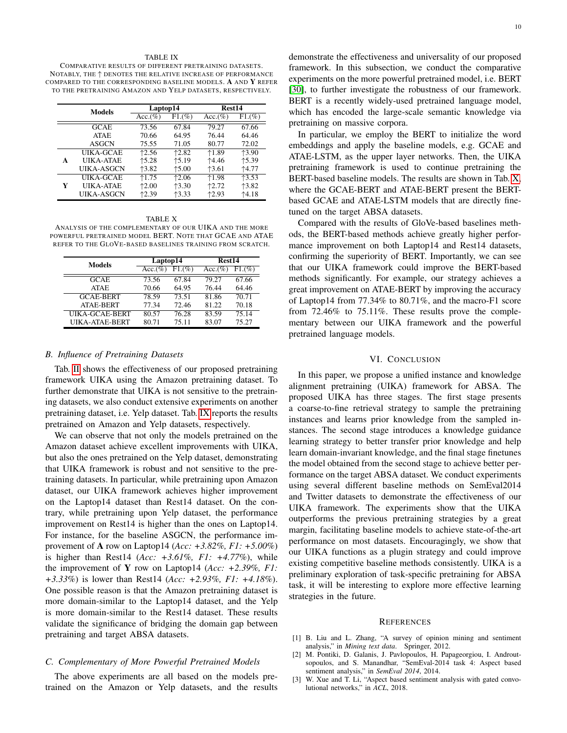#### TABLE IX

<span id="page-9-4"></span>COMPARATIVE RESULTS OF DIFFERENT PRETRAINING DATASETS. NOTABLY, THE ↑ DENOTES THE RELATIVE INCREASE OF PERFORMANCE COMPARED TO THE CORRESPONDING BASELINE MODELS. A AND Y REFER TO THE PRETRAINING AMAZON AND YELP DATASETS, RESPECTIVELY.

|   | <b>Models</b>     | Laptop14    |         | <b>Rest14</b> |           |  |
|---|-------------------|-------------|---------|---------------|-----------|--|
|   |                   | $Acc.(\% )$ | F1.(%)  | $Acc.(\%)$    | $F1.(\%)$ |  |
|   | <b>GCAE</b>       | 73.56       | 67.84   | 79.27         | 67.66     |  |
|   | <b>ATAE</b>       | 70.66       | 64.95   | 76.44         | 64.46     |  |
|   | <b>ASGCN</b>      | 75.55       | 71.05   | 80.77         | 72.02     |  |
|   | UIKA-GCAE         | 12.56       | 12.82   | $*1.89$       | $*3.90$   |  |
| A | <b>UIKA-ATAE</b>  | $+5.28$     | 15.19   | 14.46         | $+5.39$   |  |
|   | <b>UIKA-ASGCN</b> | 13.82       | $+5.00$ | $*3.61$       | 14.77     |  |
|   | UIKA-GCAE         | 1.75        | $*2.06$ | $*1.98$       | 13.53     |  |
| Y | UIK A-ATAE        | $*2.00$     | $*3.30$ | 12.72         | 13.82     |  |
|   | UIKA-ASGCN        | 12.39       | 13.33   | 12.93         | 14.18     |  |

#### TABLE X

<span id="page-9-5"></span>ANALYSIS OF THE COMPLEMENTARY OF OUR UIKA AND THE MORE POWERFUL PRETRAINED MODEL BERT. NOTE THAT GCAE AND ATAE REFER TO THE GLOVE-BASED BASELINES TRAINING FROM SCRATCH.

| <b>Models</b>         | Laptop14   |        | Rest14     |           |  |
|-----------------------|------------|--------|------------|-----------|--|
|                       | $Acc.(\%)$ | F1.(%) | $Acc.(\%)$ | $F1.(\%)$ |  |
| <b>GCAE</b>           | 73.56      | 67.84  | 79.27      | 67.66     |  |
| <b>ATAE</b>           | 70.66      | 64.95  | 76.44      | 64.46     |  |
| <b>GCAE-BERT</b>      | 78.59      | 73.51  | 81.86      | 70.71     |  |
| <b>ATAE-BERT</b>      | 77.34      | 72.46  | 81.22      | 70.18     |  |
| UIKA-GCAE-BERT        | 80.57      | 76.28  | 83.59      | 75.14     |  |
| <b>UIKA-ATAE-BERT</b> | 80.71      | 75.11  | 83.07      | 75.27     |  |

#### *B. Influence of Pretraining Datasets*

Tab. [II](#page-5-2) shows the effectiveness of our proposed pretraining framework UIKA using the Amazon pretraining dataset. To further demonstrate that UIKA is not sensitive to the pretraining datasets, we also conduct extensive experiments on another pretraining dataset, i.e. Yelp dataset. Tab. [IX](#page-9-4) reports the results pretrained on Amazon and Yelp datasets, respectively.

We can observe that not only the models pretrained on the Amazon dataset achieve excellent improvements with UIKA, but also the ones pretrained on the Yelp dataset, demonstrating that UIKA framework is robust and not sensitive to the pretraining datasets. In particular, while pretraining upon Amazon dataset, our UIKA framework achieves higher improvement on the Laptop14 dataset than Rest14 dataset. On the contrary, while pretraining upon Yelp dataset, the performance improvement on Rest14 is higher than the ones on Laptop14. For instance, for the baseline ASGCN, the performance improvement of A row on Laptop14 (*Acc: +3.82%, F1: +5.00%*) is higher than Rest14 (*Acc: +3.61%, F1: +4.77%*), while the improvement of Y row on Laptop14 (*Acc: +2.39%, F1: +3.33%*) is lower than Rest14 (*Acc: +2.93%, F1: +4.18%*). One possible reason is that the Amazon pretraining dataset is more domain-similar to the Laptop14 dataset, and the Yelp is more domain-similar to the Rest14 dataset. These results validate the significance of bridging the domain gap between pretraining and target ABSA datasets.

## *C. Complementary of More Powerful Pretrained Models*

The above experiments are all based on the models pretrained on the Amazon or Yelp datasets, and the results

demonstrate the effectiveness and universality of our proposed framework. In this subsection, we conduct the comparative experiments on the more powerful pretrained model, i.e. BERT [\[30\]](#page-10-26), to further investigate the robustness of our framework. BERT is a recently widely-used pretrained language model, which has encoded the large-scale semantic knowledge via pretraining on massive corpora.

In particular, we employ the BERT to initialize the word embeddings and apply the baseline models, e.g. GCAE and ATAE-LSTM, as the upper layer networks. Then, the UIKA pretraining framework is used to continue pretraining the BERT-based baseline models. The results are shown in Tab. [X,](#page-9-5) where the GCAE-BERT and ATAE-BERT present the BERTbased GCAE and ATAE-LSTM models that are directly finetuned on the target ABSA datasets.

Compared with the results of GloVe-based baselines methods, the BERT-based methods achieve greatly higher performance improvement on both Laptop14 and Rest14 datasets, confirming the superiority of BERT. Importantly, we can see that our UIKA framework could improve the BERT-based methods significantly. For example, our strategy achieves a great improvement on ATAE-BERT by improving the accuracy of Laptop14 from 77.34% to 80.71%, and the macro-F1 score from 72.46% to 75.11%. These results prove the complementary between our UIKA framework and the powerful pretrained language models.

## VI. CONCLUSION

<span id="page-9-3"></span>In this paper, we propose a unified instance and knowledge alignment pretraining (UIKA) framework for ABSA. The proposed UIKA has three stages. The first stage presents a coarse-to-fine retrieval strategy to sample the pretraining instances and learns prior knowledge from the sampled instances. The second stage introduces a knowledge guidance learning strategy to better transfer prior knowledge and help learn domain-invariant knowledge, and the final stage finetunes the model obtained from the second stage to achieve better performance on the target ABSA dataset. We conduct experiments using several different baseline methods on SemEval2014 and Twitter datasets to demonstrate the effectiveness of our UIKA framework. The experiments show that the UIKA outperforms the previous pretraining strategies by a great margin, facilitating baseline models to achieve state-of-the-art performance on most datasets. Encouragingly, we show that our UIKA functions as a plugin strategy and could improve existing competitive baseline methods consistently. UIKA is a preliminary exploration of task-specific pretraining for ABSA task, it will be interesting to explore more effective learning strategies in the future.

#### **REFERENCES**

- <span id="page-9-0"></span>[1] B. Liu and L. Zhang, "A survey of opinion mining and sentiment analysis," in *Mining text data*. Springer, 2012.
- <span id="page-9-1"></span>[2] M. Pontiki, D. Galanis, J. Pavlopoulos, H. Papageorgiou, I. Androutsopoulos, and S. Manandhar, "SemEval-2014 task 4: Aspect based sentiment analysis," in *SemEval 2014*, 2014.
- <span id="page-9-2"></span>[3] W. Xue and T. Li, "Aspect based sentiment analysis with gated convolutional networks," in *ACL*, 2018.